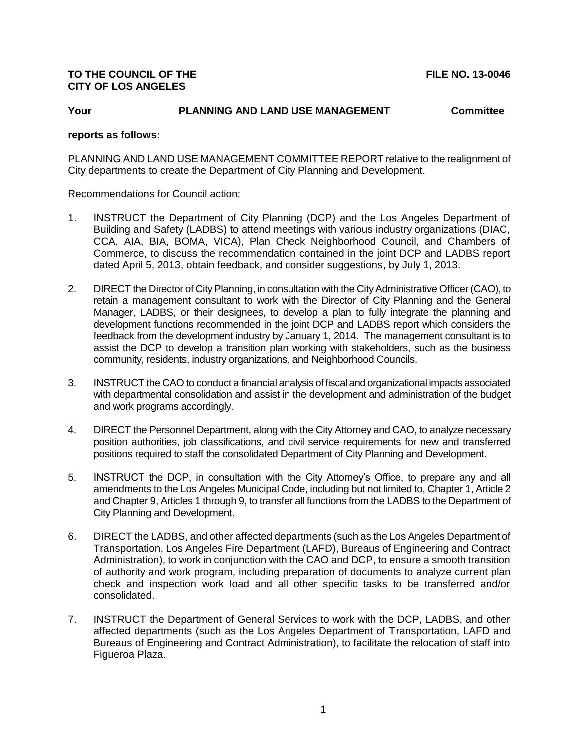## **TO THE COUNCIL OF THE FILE NO. 13-0046 CITY OF LOS ANGELES**

# **Your PLANNING AND LAND USE MANAGEMENT Committee**

#### **reports as follows:**

PLANNING AND LAND USE MANAGEMENT COMMITTEE REPORT relative to the realignment of City departments to create the Department of City Planning and Development.

Recommendations for Council action:

- 1. INSTRUCT the Department of City Planning (DCP) and the Los Angeles Department of Building and Safety (LADBS) to attend meetings with various industry organizations (DIAC, CCA, AIA, BIA, BOMA, VICA), Plan Check Neighborhood Council, and Chambers of Commerce, to discuss the recommendation contained in the joint DCP and LADBS report dated April 5, 2013, obtain feedback, and consider suggestions, by July 1, 2013.
- 2. DIRECT the Director of City Planning, in consultation with the City Administrative Officer (CAO), to retain a management consultant to work with the Director of City Planning and the General Manager, LADBS, or their designees, to develop a plan to fully integrate the planning and development functions recommended in the joint DCP and LADBS report which considers the feedback from the development industry by January 1, 2014. The management consultant is to assist the DCP to develop a transition plan working with stakeholders, such as the business community, residents, industry organizations, and Neighborhood Councils.
- 3. INSTRUCT the CAO to conduct a financial analysis of fiscal and organizational impacts associated with departmental consolidation and assist in the development and administration of the budget and work programs accordingly.
- 4. DIRECT the Personnel Department, along with the City Attorney and CAO, to analyze necessary position authorities, job classifications, and civil service requirements for new and transferred positions required to staff the consolidated Department of City Planning and Development.
- 5. INSTRUCT the DCP, in consultation with the City Attorney's Office, to prepare any and all amendments to the Los Angeles Municipal Code, including but not limited to, Chapter 1, Article 2 and Chapter 9, Articles 1 through 9, to transfer all functions from the LADBS to the Department of City Planning and Development.
- 6. DIRECT the LADBS, and other affected departments (such as the Los Angeles Department of Transportation, Los Angeles Fire Department (LAFD), Bureaus of Engineering and Contract Administration), to work in conjunction with the CAO and DCP, to ensure a smooth transition of authority and work program, including preparation of documents to analyze current plan check and inspection work load and all other specific tasks to be transferred and/or consolidated.
- 7. INSTRUCT the Department of General Services to work with the DCP, LADBS, and other affected departments (such as the Los Angeles Department of Transportation, LAFD and Bureaus of Engineering and Contract Administration), to facilitate the relocation of staff into Figueroa Plaza.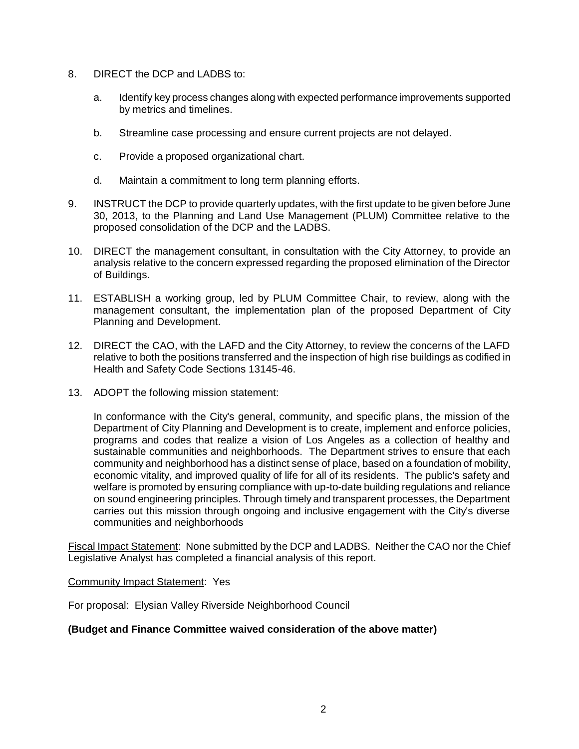- 8. DIRECT the DCP and LADBS to:
	- a. Identify key process changes along with expected performance improvements supported by metrics and timelines.
	- b. Streamline case processing and ensure current projects are not delayed.
	- c. Provide a proposed organizational chart.
	- d. Maintain a commitment to long term planning efforts.
- 9. INSTRUCT the DCP to provide quarterly updates, with the first update to be given before June 30, 2013, to the Planning and Land Use Management (PLUM) Committee relative to the proposed consolidation of the DCP and the LADBS.
- 10. DIRECT the management consultant, in consultation with the City Attorney, to provide an analysis relative to the concern expressed regarding the proposed elimination of the Director of Buildings.
- 11. ESTABLISH a working group, led by PLUM Committee Chair, to review, along with the management consultant, the implementation plan of the proposed Department of City Planning and Development.
- 12. DIRECT the CAO, with the LAFD and the City Attorney, to review the concerns of the LAFD relative to both the positions transferred and the inspection of high rise buildings as codified in Health and Safety Code Sections 13145-46.
- 13. ADOPT the following mission statement:

In conformance with the City's general, community, and specific plans, the mission of the Department of City Planning and Development is to create, implement and enforce policies, programs and codes that realize a vision of Los Angeles as a collection of healthy and sustainable communities and neighborhoods. The Department strives to ensure that each community and neighborhood has a distinct sense of place, based on a foundation of mobility, economic vitality, and improved quality of life for all of its residents. The public's safety and welfare is promoted by ensuring compliance with up-to-date building regulations and reliance on sound engineering principles. Through timely and transparent processes, the Department carries out this mission through ongoing and inclusive engagement with the City's diverse communities and neighborhoods

Fiscal Impact Statement: None submitted by the DCP and LADBS. Neither the CAO nor the Chief Legislative Analyst has completed a financial analysis of this report.

Community Impact Statement: Yes

For proposal: Elysian Valley Riverside Neighborhood Council

### **(Budget and Finance Committee waived consideration of the above matter)**